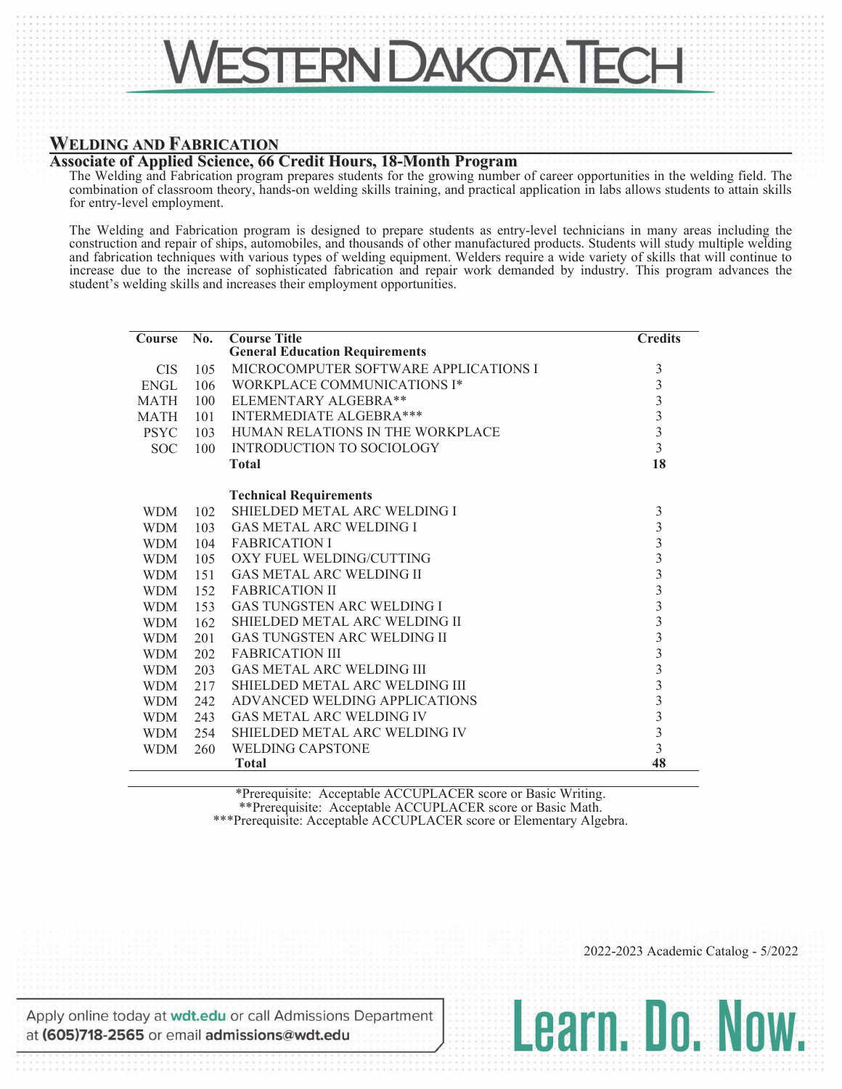

## **WELDING AND FABRICATION**

## **Associate of Applied Science, 66 Credit Hours, 18-Month Program**

The Welding and Fabrication program prepares students for the growing number of career opportunities in the welding field. The combination of classroom theory, hands-on welding skills training, and practical application in labs allows students to attain skills for entry-level employment.

The Welding and Fabrication program is designed to prepare students as entry-level technicians in many areas including the construction and repair of ships, automobiles, and thousands of other manufactured products. Students will study multiple welding and fabrication techniques with various types of welding equipment. Welders require a wide variety of skills that will continue to increase due to the increase of sophisticated fabrication and repair work demanded by industry. This program advances the student's welding skills and increases their employment opportunities.

| <b>Course</b> | $\overline{\text{No}}$ . | <b>Course Title</b>                   | <b>Credits</b>                                  |
|---------------|--------------------------|---------------------------------------|-------------------------------------------------|
|               |                          | <b>General Education Requirements</b> |                                                 |
| <b>CIS</b>    | 105                      | MICROCOMPUTER SOFTWARE APPLICATIONS I | 3                                               |
| <b>ENGL</b>   | 106                      | WORKPLACE COMMUNICATIONS I*           | 3                                               |
| <b>MATH</b>   | 100                      | ELEMENTARY ALGEBRA**                  |                                                 |
| <b>MATH</b>   | 101                      | <b>INTERMEDIATE ALGEBRA***</b>        | $\begin{array}{c} 3 \\ 3 \\ 3 \\ 3 \end{array}$ |
| <b>PSYC</b>   | 103                      | HUMAN RELATIONS IN THE WORKPLACE      |                                                 |
| <b>SOC</b>    | 100                      | <b>INTRODUCTION TO SOCIOLOGY</b>      |                                                 |
|               |                          | <b>Total</b>                          | 18                                              |
|               |                          | <b>Technical Requirements</b>         |                                                 |
| <b>WDM</b>    | 102                      | SHIELDED METAL ARC WELDING I          | 3                                               |
| <b>WDM</b>    | 103                      | <b>GAS METAL ARC WELDING I</b>        |                                                 |
| <b>WDM</b>    | 104                      | <b>FABRICATION I</b>                  |                                                 |
| <b>WDM</b>    | 105                      | OXY FUEL WELDING/CUTTING              |                                                 |
| <b>WDM</b>    | 151                      | <b>GAS METAL ARC WELDING II</b>       |                                                 |
| <b>WDM</b>    | 152                      | <b>FABRICATION II</b>                 |                                                 |
| <b>WDM</b>    | 153                      | <b>GAS TUNGSTEN ARC WELDING I</b>     |                                                 |
| <b>WDM</b>    | 162                      | SHIELDED METAL ARC WELDING II         |                                                 |
| <b>WDM</b>    | 201                      | <b>GAS TUNGSTEN ARC WELDING II</b>    |                                                 |
| <b>WDM</b>    | 202                      | <b>FABRICATION III</b>                |                                                 |
| <b>WDM</b>    | 203                      | <b>GAS METAL ARC WELDING III</b>      |                                                 |
| <b>WDM</b>    | 217                      | SHIELDED METAL ARC WELDING III        |                                                 |
| <b>WDM</b>    | 242                      | ADVANCED WELDING APPLICATIONS         |                                                 |
| <b>WDM</b>    | 243                      | <b>GAS METAL ARC WELDING IV</b>       |                                                 |
| <b>WDM</b>    | 254                      | SHIELDED METAL ARC WELDING IV         | $\frac{3}{3}$                                   |
| <b>WDM</b>    | 260                      | <b>WELDING CAPSTONE</b>               |                                                 |
|               |                          | <b>Total</b>                          | 48                                              |

\*Prerequisite: Acceptable ACCUPLACER score or Basic Writing. \*\*Prerequisite: Acceptable ACCUPLACER score or Basic Math.

\*\*\*Prerequisite: Acceptable ACCUPLACER score or Elementary Algebra.

Apply online today at wdt.edu or call Admissions Department at (605)718-2565 or email admissions@wdt.edu

2022-2023 Academic Catalog - 5/2022

Learn, Do. Now.